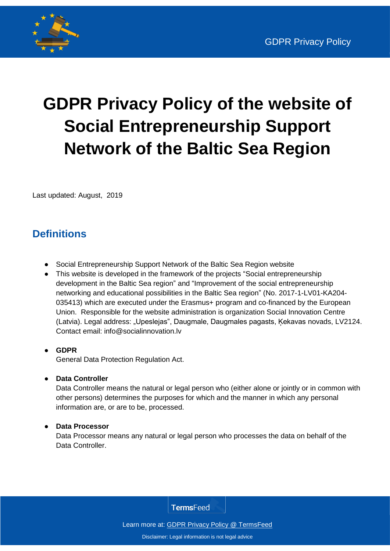

# **GDPR Privacy Policy of the website of Social Entrepreneurship Support Network of the Baltic Sea Region**

Last updated: August, 2019

# **Definitions**

- Social Entrepreneurship Support Network of the Baltic Sea Region website
- This website is developed in the framework of the projects "Social entrepreneurship development in the Baltic Sea region" and "Improvement of the social entrepreneurship networking and educational possibilities in the Baltic Sea region" (No. 2017-1-LV01-KA204- 035413) which are executed under the Erasmus+ program and co-financed by the European Union. Responsible for the website administration is organization Social Innovation Centre (Latvia). Legal address: "Upeslejas", Daugmale, Daugmales pagasts, Ķekavas novads, LV2124. Contact email: info@socialinnovation.lv
- **GDPR** General Data Protection Regulation Act.
- **Data Controller**

Data Controller means the natural or legal person who (either alone or jointly or in common with other persons) determines the purposes for which and the manner in which any personal information are, or are to be, processed.

#### **Data Processor**

Data Processor means any natural or legal person who processes the data on behalf of the Data Controller.

**TermsFeed** 

Learn more at: **GDPR Privacy Policy @ TermsFeed**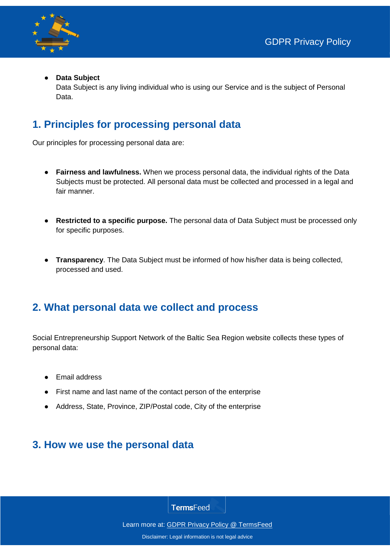

#### **Data Subject**

Data Subject is any living individual who is using our Service and is the subject of Personal Data.

# **1. Principles for processing personal data**

Our principles for processing personal data are:

- **Fairness and lawfulness.** When we process personal data, the individual rights of the Data Subjects must be protected. All personal data must be collected and processed in a legal and fair manner.
- **Restricted to a specific purpose.** The personal data of Data Subject must be processed only for specific purposes.
- **Transparency**. The Data Subject must be informed of how his/her data is being collected, processed and used.

## **2. What personal data we collect and process**

Social Entrepreneurship Support Network of the Baltic Sea Region website collects these types of personal data:

- Email address
- First name and last name of the contact person of the enterprise
- Address, State, Province, ZIP/Postal code, City of the enterprise

## **3. How we use the personal data**

**TermsFeed** 

Learn more at: **GDPR Privacy Policy @ TermsFeed**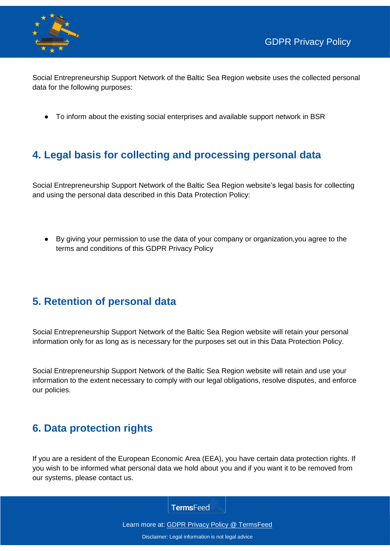



Social Entrepreneurship Support Network of the Baltic Sea Region website uses the collected personal data for the following purposes:

To inform about the existing social enterprises and available support network in BSR

# **4. Legal basis for collecting and processing personal data**

Social Entrepreneurship Support Network of the Baltic Sea Region website's legal basis for collecting and using the personal data described in this Data Protection Policy:

● By giving your permission to use the data of your company or organization,you agree to the terms and conditions of this GDPR Privacy Policy

# **5. Retention of personal data**

Social Entrepreneurship Support Network of the Baltic Sea Region website will retain your personal information only for as long as is necessary for the purposes set out in this Data Protection Policy.

Social Entrepreneurship Support Network of the Baltic Sea Region website will retain and use your information to the extent necessary to comply with our legal obligations, resolve disputes, and enforce our policies.

# **6. Data protection rights**

If you are a resident of the European Economic Area (EEA), you have certain data protection rights. If you wish to be informed what personal data we hold about you and if you want it to be removed from our systems, please contact us.

**TermsFeed** 

Learn more at: **GDPR Privacy Policy @ TermsFeed**